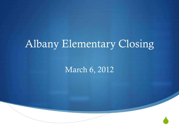### Albany Elementary Closing

March 6, 2012

 $\blacklozenge$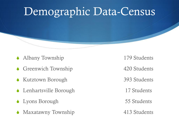### Demographic Data-Census

- Albany Township 179 Students
- Greenwich Township 420 Students
- ◆ Kutztown Borough 393 Students
- ◆ Lenhartsville Borough 17 Students
- Lyons Borough 55 Students
- Maxatawny Township 413 Students

- 
- 
- 
- 
-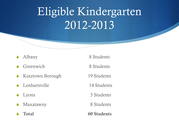# Eligible Kindergarten 2012-2013

- 
- Greenwich 8 Students
- Kutztown Borough 19 Students
- Lenhartsville 14 Students
- 
- Maxatawny 8 Students
- 

Albany 8 Students Lyons 3 Students Total 60 Students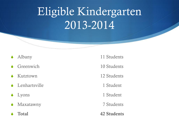# Eligible Kindergarten 2013-2014

- 
- 
- 
- Lenhartsville 1 Student
- 
- Maxatawny 7 Students
- 
- Albany 11 Students
- Greenwich 10 Students
- S Kutztown 12 Students
	-
- Lyons 1 Student
	-
- Total **42 Students**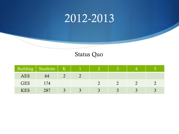### 2012-2013

#### Status Quo

|            | Building Students   K |  |  |  |
|------------|-----------------------|--|--|--|
| <b>AES</b> | 64                    |  |  |  |
| GES        | 74                    |  |  |  |
| <b>KES</b> | 287                   |  |  |  |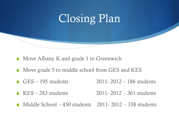

- $\bullet$  Move Albany K and grade 1 to Greenwich
- $\bullet$  Move grade 5 to middle school from GES and KES
- GES 195 students 2011- 2012 186 students
- S KES 283 students 2011- 2012 361 students
- $\triangle$  Middle School 450 students 2011-2012 338 students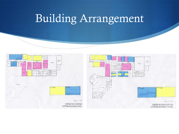### Building Arrangement

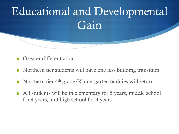

- Greater differentiation
- $\bullet$  Northern tier students will have one less building transition
- $\bullet$  Northern tier 4<sup>th</sup> grade/Kindergarten buddies will return
- $\blacklozenge$  All students will be in elementary for 5 years, middle school for 4 years, and high school for 4 years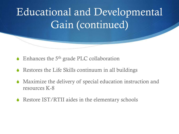### Educational and Developmental Gain (continued)

- $\triangle$  Enhances the 5<sup>th</sup> grade PLC collaboration
- Restores the Life Skills continuum in all buildings
- $\bullet$  Maximize the delivery of special education instruction and resources K-8
- $\triangle$  Restore IST/RTII aides in the elementary schools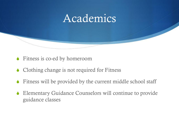

- $\blacklozenge$  Fitness is co-ed by homeroom
- $\triangle$  Clothing change is not required for Fitness
- $\bullet$  Fitness will be provided by the current middle school staff
- $\triangle$  Elementary Guidance Counselors will continue to provide guidance classes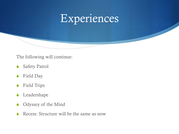

The following will continue:

- **Safety Patrol**
- Field Day
- ◆ Field Trips
- Leadershape
- Odyssey of the Mind
- Recess: Structure will be the same as now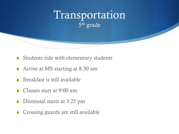### Transportation 5<sup>th</sup> grade

- $\bullet$  Students ride with elementary students
- $\triangle$  Arrive at MS starting at 8:30 am
- $\triangle$  Breakfast is still available
- $\triangle$  Classes start at 9:00 am
- $\bullet$  Dismissal starts at 3:25 pm
- $\triangle$  Crossing guards are still available